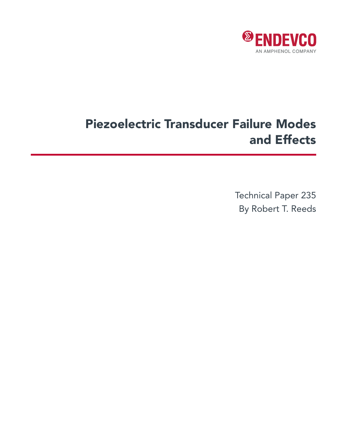

# Piezoelectric Transducer Failure Modes and Effects

Technical Paper 235 By Robert T. Reeds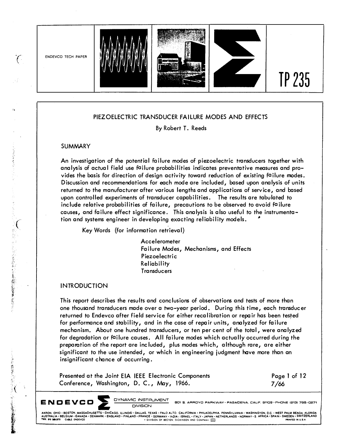

#### **PIEZOELECTRIC TRANSDUCER FAILURE MODES AND EFFECTS**

**By Robert T. Reeds** 

#### **SUMMARY**

An investigation of the potential failure modes of piezoelectric transducers together with **analysis of actual field use failure probabilities indicates preventative measures and provides the basis for direction of design activity toward reduction of existing failure modes. Discussion and recommendations for each mode are included, based upon analysis of units returned to the manufacturer after various lengths and applications of service, and based upon controlled experiments of transducer capabilities. The results are tabulated to include relative probabilities of failure, precautions to be observed to avoid failure causes, and failure effect significance. This analysis is also useful to the instrumentation and systems engineer in developing exacting reliability models. •**

**Key Words (for information retrieval)** 

**Accelerometer Failure Modes, Mechanisms, and Effects Piezoelectric Rel iabi I ity Transducers** 

#### **INTRODUCTION**

**This report describes the results and conclusions of observations and tests of more than one thousand transducers made over a two-year period. During this time, each transducer returned to Endevco after field service for either recalibration or repair has been tested for performance and stability, and in the case of repair units, analyzed for failure mechanism. About one hundred transducers, or ten per cent of the total, were analyzed for degradation or failure causes. All failure modes which actually occurred during the preparation of the report are included, plus modes which, although rare, are either significant to the use intended, or which in engineering judgment have more than an insignificant chance of occurring.** 

|                                           | Presented at the Joint EIA IEEE Electronic Components | Page 1 of 12 |
|-------------------------------------------|-------------------------------------------------------|--------------|
| Conference, Washington, D. C., May, 1966. |                                                       | 7/66         |

**E N D E V C D**  $\sum$  **DYNAMIC INSTRUMENT** 

**601 5, ARROYO PARKWAY• PASAOENA, CALIF. 9110S • PHONE 12131 795-0271** 

DIVISION<br>AKRON, OHIO · BOSTON, MASSACHUSETTS · CHICAGO, ILLINOIS · DALLAS, TEXAS · PALO ALTO, CALIFORNIA · PHILADELPHIA, PENNSYLVANIA · WASHINGTON, D.C. · WEST PALM BEACH, FLORIDA<br>AUSTRALIA · BELGIUM · CANADA · DENMARK · E

·company with the second of the second the second the second the second the second the second the second the second the second the second the second the second the second the second the second the second the second the s

- 大学の記事を読ん

 $\mathcal{C}$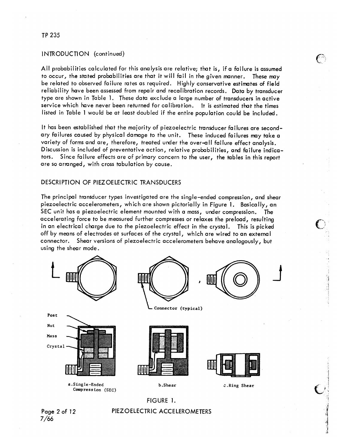#### TP 235

#### INTRODUCTION (continued)

All probabilities calculated for this analysis are relative; that is, if a failure is assumed to occur, the stated probabilities are that it will fail in the given manner. These may be related to observed failure rates as required. Highly conservative estimates of field reliability have been assessed from repair and recalibration records. Data by transducer type are shown in Table 1. These data exclude a large number of transducers in active service which have never been returned for calibration. It is estimated that the times listed in Table 1 would be at least doubled if the entire population could be included.

It has been established that the majority of piezoelectric transducer failures are secondary failures caused by physical damage to the unit. These induced failures may take a variety of forms and are, therefore, treated under the over-all failure effect analysis. Discussion is included of preventative action, relative probabilities, and failure indicators. Since failure effects are of primary concern to the user, the tables in this report are so arranged, with cross tabulation by cause.

#### **DESCRIPTION OF PIEZOELECTRIC TRANSDUCERS**

The principal transducer types investigated are the single-ended compression, and shear piezoelectric accelerometers, which are shown pictorially in Figure 1. Basically, an SEC unit has a piezoelectric element mounted with a mass, under compression. The accelerating force to be measured further compresses or relaxes the preload, resulting in an electrical charge due to the piezoelectric effect in the crystal. This is picked off by means of electrodes at surfaces of the crystal, which are wired to an external connector. Shear versions of piezoelectric accelerometers behave analogously, but using the shear mode.





PIEZOELECTRIC ACCELEROMETERS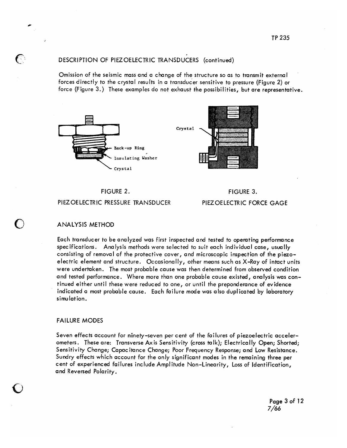## DESCRIPTION OF PIEZ OELECTRIC TRANSDUCERS (continued)

Omission of the seismic mass and a change of the structure so as to transmit external forces directly to the crystal results in a transducer sensitive to pressure (Figure 2) or force (Figure 3.) These examples do not exhaust the possibilities, but are representative.



## FIGURE 2. PIEZ OELECTRIC PRESSURE TRANSDUCER

FIGURE 3. PIEZ OELECTRIC FORCE GAGE

## **ANALYSIS METHOD**

Each transducer to be analyzed was first inspected and tested to operating performance specifications. Analysis methods were selected to suit each individual case, usually consisting of removal of the protective cover, and microscopic inspection of the piezoelectric element and structure. Occasionally, other means such as X-Ray of intact units were undertaken. The most probable cause was then determined from observed condition and tested performance. Where more than one probable cause existed, analysis was continued either until these were reduced to one, or until the preponderance of evidence indicated a most probable cause. Each failure mode was also duplicated by laboratory simulation.

#### **FAILURE MODES**

Seven effects account for ninety-seven per cent of the failures of piezoelectric accelerometers. These are: Transverse Axis Sensitivity (cross talk); Electrically Open; Shorted; Sensitivity Change; Capacitance Change; Poor Frequency Response; and Low Resistance. Sundry effects which account for the only significant modes in the remaining three per cent of experienced failures include Amplitude Non-Linearity, Loss of Identification, and Reversed Polarity.

> Page 3 of 12  $7/66$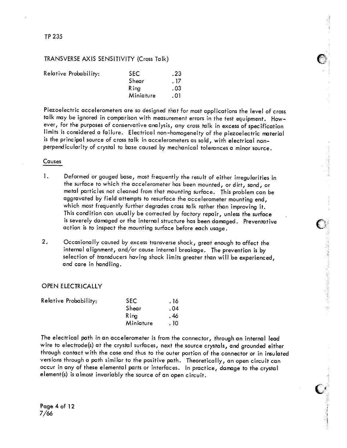## TP 235

## TRANSVERSE AXIS SENSITIVITY (Cross Talk)

| Relative Probability: | <b>SEC</b>   | .23  |
|-----------------------|--------------|------|
|                       | Shear        | . 17 |
|                       | <b>R</b> ina | . 03 |
|                       | Miniature    | . 01 |
|                       |              |      |

Piezoelectric accelerometers are so designed that for most applications the level of cross talk may be ignored in comparison with measurement errors in the test equipment. However, for the purposes of conservative analysis, any cross talk in excess of specification limits is considered a failure. Electrical non-homogeneity of the piezoelectric material is the principal source of cross talk in accelerometers as sold, with electrical nonperpendicularity of crystal to base caused by mechanical tolerances a minor source.

#### Causes

- $\mathbf{I}$ . Deformed or gouged base, most frequently the result of either irregularities in the surface to which the accelerometer has been mounted, or dirt, sand, or metal particles not cleaned from that mounting surface. This problem can be aggravated by field attempts to resurface the accelerometer mounting end, which most frequently further degrades cross talk rather than improving it. This condition can usually be corrected by factory repair, unless the surface is severely damaged or the internal structure has been damaged. Preventative action is to inspect the mounting surface before each usage.
- $2.$ Occasionally caused by excess transverse shock, great enough to affect the internal alignment, and/or cause internal breakage. The prevention is by selection of transducers having shock limits greater than will be experienced, and care in handling.

#### **OPEN ELECTRICALLY**

| Relative Probability: | <b>SEC</b> | . 16 |
|-----------------------|------------|------|
|                       | Shear      | .04  |
|                       | Rina       | . 46 |
|                       | Miniature  | . 10 |

The electrical path in an accelerometer is from the connector, through an internal lead wire to electrode(s) at the crystal surfaces, next the source crystals, and grounded either through contact with the case and thus to the outer portion of the connector or in insulated versions through a path similar to the positive path. Theoretically, an open circuit can occur in any of these elemental parts or interfaces. In practice, damage to the crystal element(s) is almost invariably the source of an open circuit.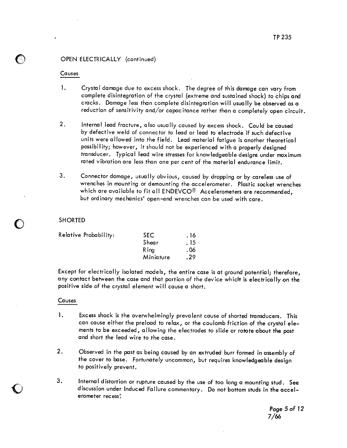## OPEN ELECTRICALLY (continued)

#### Causes

- $\mathbf{1}$ . Crystal damage due to excess shock. The degree of this damage can vary from complete disintegration of the crystal (extreme and sustained shock) to chips and cracks. Damage less than complete disintegration will usually be observed as a reduction of sensitivity and/or capacitance rather than a completely open circuit.
- $2.$ Internal lead fracture, also usually caused by excess shock. Could be caused by defective weld of connector to lead or lead to electrode if such defective units were allowed into the field. Lead material fatigue is another theoretical possibility; however, it should not be experienced with a properly designed transducer. Typical lead wire stresses for knowledgeable designs under maximum rated vibration are less than one per cent of the material endurance limit.
- 3. Connector damage, usually obvious, caused by dropping or by careless use of wrenches in mounting or demounting the accelerometer. Plastic socket wrenches which are available to fit all ENDEVCO® Accelerometers are recommended, but ordinary mechanics' open-end wrenches can be used with care.

#### **SHORTED**

| Relative Probability: | <b>SEC</b> | . 16 |
|-----------------------|------------|------|
|                       | Shear      | . 15 |
|                       | Rina       | . 06 |
|                       | Miniature  | .29  |

Except for electrically isolated models, the entire case is at ground potential; therefore, any contact between the case and that portion of the device which is electrically on the positive side of the crystal element will cause a short.

#### Causes

- 1. Excess shock is the overwhelmingly prevalent cause of shorted transducers. This can cause either the preload to relax, or the coulomb friction of the crystal elements to be exceeded, allowing the electrodes to slide or rotate about the post and short the lead wire to the case.
- $2.$ Observed in the past as being caused by an extruded burr formed in assembly of the cover to base. Fortunately uncommon, but requires knowledgeable design to positively prevent.
- 3. Internal distortion or rupture caused by the use of too long a mounting stud. See discussion under Induced Failure commentary. Do not bottom studs in the accelerometer recess!

Page 5 of 12 7/66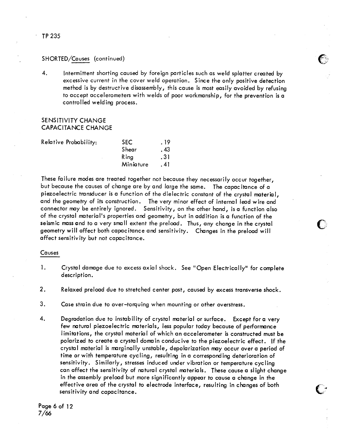## SHORTED/Causes (continued)

 $\overline{4}$ . Intermittent shorting caused by foreign particles such as weld splatter created by excessive current in the cover weld operation. Since the only positive detection method is by destructive disassembly, this cause is most easily avoided by refusing to accept accelerometers with welds of poor workmanship, for the prevention is a controlled welding process.

## SENSITIVITY CHANGE **CAPACITANCE CHANGE**

| Relative Probability: | <b>SEC</b>   | . 19 |
|-----------------------|--------------|------|
|                       | Shear        | . 43 |
|                       | <b>R</b> ing | .31  |
|                       | Miniature    | . 41 |
|                       |              |      |

These failure modes are treated together not because they necessarily occur together, but because the causes of change are by and large the same. The capacitance of a piezoelectric transducer is a function of the dielectric constant of the crystal material, and the geometry of its construction. The very minor effect of internal lead wire and connector may be entirely ignored. Sensitivity, on the other hand, is a function also of the crystal material's properties and geometry, but in addition is a function of the seismic mass and to a very small extent the preload. Thus, any change in the crystal geometry will affect both capacitance and sensitivity. Changes in the preload will affect sensitivity but not capacitance.

## Causes

- $\mathbf{1}$ . Crystal damage due to excess axial shock. See "Open Electrically" for complete description.
- $2.$ Relaxed preload due to stretched center post, caused by excess transverse shock.
- 3. Case strain due to over-torquing when mounting or other overstress.
- 4. Degradation due to instability of crystal material or surface. Except for a very few natural piezoelectric materials, less popular today because of performance limitations, the crystal material of which an accelerometer is constructed must be polarized to create a crystal domain conducive to the piezoelectric effect. If the crystal material is marginally unstable, depolarization may occur over a period of time or with temperature cycling, resulting in a corresponding deterioration of sensitivity. Similarly, stresses induced under vibration or temperature cycling can affect the sensitivity of natural crystal materials. These cause a slight change in the assembly preload but more significantly appear to cause a change in the effective area of the crystal to electrode interface, resulting in changes of both sensitivity and capacitance.

## TP 235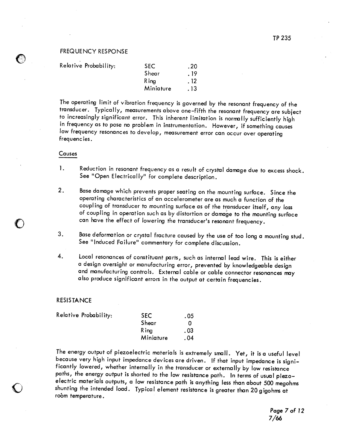#### **FREQUENCY RESPONSE**

| Relative Probability: | <b>SEC</b> | .20  |
|-----------------------|------------|------|
|                       | Shear      | . 19 |
|                       | R ina      | . 12 |
|                       | Miniature  | . 13 |

The operating limit of vibration frequency is governed by the resonant frequency of the transducer. Typically, measurements above one-fifth the resonant frequency are subject to increasingly significant error. This inherent limitation is normally sufficiently high in frequency as to pose no problem in instrumentation. However, if something causes low frequency resonances to develop, measurement error can occur over operating frequencies.

#### Causes

- 1. Reduction in resonant frequency as a result of crystal damage due to excess shock. See "Open Electrically" for complete description.
- $2.$ Base damage which prevents proper seating on the mounting surface. Since the operating characteristics of an accelerometer are as much a function of the coupling of transducer to mounting surface as of the transducer itself, any loss of coupling in operation such as by distortion or damage to the mounting surface can have the effect of lowering the transducer's resonant frequency.
- 3. Base deformation or crystal fracture caused by the use of too long a mounting stud. See "Induced Failure" commentary for complete discussion.
- $\overline{4}$ . Local resonances of constituant parts, such as internal lead wire. This is either a design oversight or manufacturing error, prevented by knowledgeable design and manufacturing controls. External cable or cable connector resonances may also produce significant errors in the output at certain frequencies.

#### **RESISTANCE**

| Relative Probability: | <b>SEC</b> | . 05 |
|-----------------------|------------|------|
|                       | Shear      |      |
|                       | R ina      | .03  |
|                       | Miniature  | . 04 |

The energy output of piezoelectric materials is extremely small. Yet, it is a useful level because very high input impedance devices are driven. If that input impedance is significantly lowered, whether internally in the transducer or externally by low resistance paths, the energy output is shorted to the low resistance path. In terms of usual piezoelectric materials outputs, a low resistance path is anything less than about 500 megohms shunting the intended load. Typical element resistance is greater than 20 gigohms at room temperature.

Page 7 of 12  $7/66$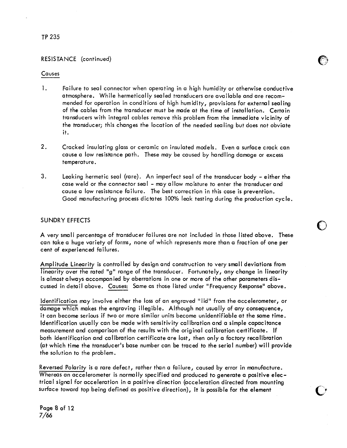## TP 235

## RESISTANCE (continued)

#### Causes

- $\mathbf{1}$ . Failure to seal connector when operating in a high humidity or otherwise conductive atmosphere. While hermetically sealed transducers are available and are recommended for operation in conditions of high humidity, provisions for external sealing of the cables from the transducer must be made at the time of installation. Certain transducers with integral cables remove this problem from the immediate vicinity of the transducer; this changes the location of the needed sealing but does not obviate it.
- $2.$ Cracked insulating glass or ceramic on insulated models. Even a surface crack can cause a low resistance path. These may be caused by handling damage or excess temperature.
- $3.$ Leaking hermetic seal (rare). An imperfect seal of the transducer body - either the case weld or the connector seal - may allow moisture to enter the transducer and cause a low resistance failure. The best correction in this case is prevention. Good manufacturing process dictates 100% leak testing during the production cycle.

#### **SUNDRY EFFECTS**

A very small percentage of transducer failures are not included in those listed above. These can take a huge variety of forms, none of which represents more than a fraction of one per cent of experienced failures.

Amplitude Linearity is controlled by design and construction to very small deviations from linearity over the rated "g" range of the transducer. Fortunately, any change in linearity is almost always accompanied by aberrations in one or more of the other parameters discussed in detail above. Causes: Same as those listed under "Frequency Response" above.

Identification may involve either the loss of an engraved "lid" from the accelerometer, or damage which makes the engraving illegible. Although not usually of any consequence, it can become serious if two or more similar units become unidentifiable at the same time. Identification usually can be made with sensitivity calibration and a simple capacitance measurement and comparison of the results with the original calibration certificate. If both identification and calibration certificate are lost, then only a factory recalibration (at which time the transducer's base number can be traced to the serial number) will provide the solution to the problem.

Reversed Polarity is a rare defect, rather than a failure, caused by error in manufacture. Whereas an accelerometer is normally specified and produced to generate a positive electrical signal for acceleration in a positive direction (acceleration directed from mounting surface toward top being defined as positive direction), it is possible for the element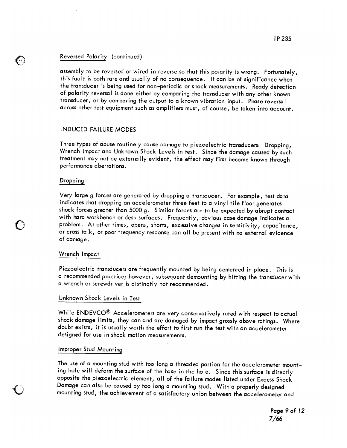#### Reversed Polarity (continued)

assembly to be reversed or wired in reverse so that this polarity is wrong. Fortunately, this fault is both rare and usually of no consequence. It can be of significance when the transducer is being used for non-periodic or shock measurements. Ready detection of polarity reversal is done either by comparing the transducer with any other known transducer, or by comparing the output to a known vibration input. Phase reversal across other test equipment such as amplifiers must, of course, be taken into account.

#### **INDUCED FAILURE MODES**

Three types of abuse routinely cause damage to piezoelectric transducers: Dropping, Wrench Impact and Unknown Shock Levels in test. Since the damage caused by such treatment may not be externally evident, the effect may first become known through performance aberrations.

#### Dropping

€

Very large g forces are generated by dropping a transducer. For example, test data indicates that dropping an accelerometer three feet to a vinyl tile floor generates shock forces greater than 5000 g. Similar forces are to be expected by abrupt contact with hard workbench or desk surfaces. Frequently, obvious case damage indicates a problem. At other times, opens, shorts, excessive changes in sensitivity, capacitance, or cross talk, or poor frequency response can all be present with no external evidence of damage.

#### Wrench Impact

Piezoelectric transducers are frequently mounted by being cemented in place. This is a recommended practice; however, subsequent demounting by hitting the transducer with a wrench or screwdriver is distinctly not recommended.

#### Unknown Shock Levels in Test

While ENDEVCO® Accelerometers are very conservatively rated with respect to actual shock damage limits, they can and are damaged by impact grossly above ratings. Where doubt exists, it is usually worth the effort to first run the test with an accelerometer designed for use in shock motion measurements.

#### Improper Stud Mounting

The use of a mounting stud with too long a threaded portion for the accelerometer mounting hole will deform the surface of the base in the hole. Since this surface is directly opposite the piezoelectric element, all of the failure modes listed under Excess Shock Damage can also be caused by too long a mounting stud. With a properly designed mounting stud, the achievement of a satisfactory union between the accelerometer and

> Page 9 of 12  $7/66$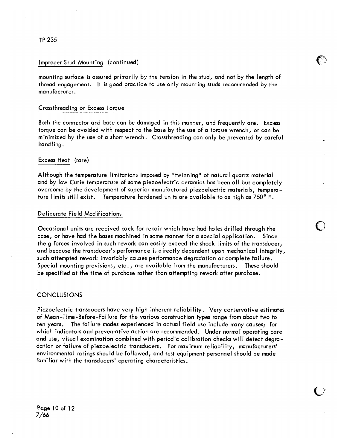#### Improper Stud Mounting (continued)

mounting surface is assured primarily by the tension in the stud, and not by the length of thread engagement. It is good practice to use only mounting studs recommended by the manufacturer.

#### Crossthreading or Excess Torque

Both the connector and base can be damaged in this manner, and frequently are. Excess torque can be avoided with respect to the base by the use of a torque wrench, or can be minimized by the use of a short wrench. Crossthreading can only be prevented by careful handling.

#### Excess Heat (rare)

Although the temperature limitations imposed by "twinning" of natural quartz material and by low Curie temperature of some piezoelectric ceramics has been all but completely overcome by the development of superior manufactured piezoelectric materials, temperature limits still exist. Temperature hardened units are available to as high as 750°F.

#### Deliberate Field Modifications

Occasional units are received back for repair which have had holes drilled through the case, or have had the bases machined in some manner for a special application. Since the g forces involved in such rework can easily exceed the shock limits of the transducer, and because the transducer's performance is directly dependent upon mechanical integrity, such attempted rework invariably causes performance degradation or complete failure. Special mounting provisions, etc., are available from the manufacturers. These should be specified at the time of purchase rather than attempting rework after purchase.

#### **CONCLUSIONS**

Piezoelectric transducers have very high inherent reliability. Very conservative estimates of Mean-Time-Before-Failure for the various construction types range from about two to ten years. The failure modes experienced in actual field use include many causes; for which indicators and preventative action are recommended. Under normal operating care and use, visual examination combined with periodic calibration checks will detect degradation or failure of piezoelectric transducers. For maximum reliability, manufacturers' environmental ratings should be followed, and test equipment personnel should be made familiar with the transducers' operating characteristics.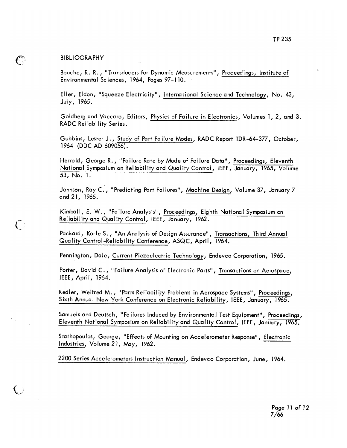#### **BIBLIOGRAPHY**

 $\mathbb{C}$ 

 $\bigcap$ 

Bouche, R. R., "Transducers for Dynamic Measurements", Proceedings, Institute of Environmental Sciences, 1964, Pages 97-110.

Eller, Eldon, "Squeeze Electricity", International Science and Technology, No. 43, July,  $1965.$ 

Goldberg and Vaccaro, Editors, Physics of Failure in Electronics, Volumes 1, 2, and 3. **RADC Reliability Series.** 

Gubbins, Lester J., Study of Part Failure Modes, RADC Report TDR-64-377, October, 1964 (DDC AD 609056).

Herrold, George R., "Failure Rate by Mode of Failure Data", Proceedings, Eleventh National Symposium on Reliability and Quality Control, IEEE, January, 1965, Volume 53, No. 1.

Johnson, Ray C., "Predicting Part Failures", Machine Design, Volume 37, January 7 and 21, 1965.

Kimball, E. W., "Failure Analysis", Proceedings, Eighth National Symposium on Reliability and Quality Control, IEEE, January, 1962.

Packard, Karle S., "An Analysis of Design Assurance", Transactions, Third Annual Quality Control-Reliability Conference, ASQC, April, 1964.

Pennington, Dale, Current Piezoelectric Technology, Endevco Corporation, 1965.

Porter, David C., "Failure Analysis of Electronic Parts", Transactions on Aerospace, IEEE,  $April, 1964.$ 

Redler, Welfred M., "Parts Reliability Problems in Aerospace Systems", Proceedings, Sixth Annual New York Conference on Electronic Reliability, IEEE, January, 1965.

Samuels and Deutsch, "Failures Induced by Environmental Test Equipment", Proceedings, Eleventh National Symposium on Reliability and Quality Control, IEEE, January, 1965.

Stathopoulos, George, "Effects of Mounting on Accelerometer Response", Electronic Industries, Volume 21, May, 1962.

2200 Series Accelerometers Instruction Manual, Endevco Corporation, June, 1964.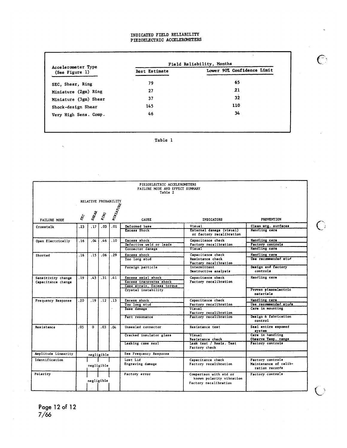## INDICATED FIELD RELIABILITY<br>PIEZOELECTRIC ACCELEROMETERS

| Accelerometer Type    | Field Reliability, Months |                            |  |  |  |
|-----------------------|---------------------------|----------------------------|--|--|--|
| (See Figure 1)        | Best Estimate             | Lower 90% Confidence Limit |  |  |  |
| SEC, Shear, Ring      | 79                        | 65                         |  |  |  |
| Miniature (2gm) Ring  | 27                        | 21                         |  |  |  |
| Miniature (3gm) Shear | 37                        | 32                         |  |  |  |
| Shock-design Shear    | 145                       | 110                        |  |  |  |
| Very High Sens. Comp. | 46                        | 34                         |  |  |  |

Table 1

|                                          |                     |                  |            |                      | PIEZOELECTRIC ACCELEROMETERS<br>FAILURE MODE AND EFFECT SUMMARY<br>Table 2  |                                                                             |                                                             |
|------------------------------------------|---------------------|------------------|------------|----------------------|-----------------------------------------------------------------------------|-----------------------------------------------------------------------------|-------------------------------------------------------------|
|                                          |                     |                  |            | RELATIVE PROBABILITY |                                                                             |                                                                             |                                                             |
| FAILURE MODE                             | $s_{\mathcal{E}_C}$ | SHRAR            | RING       | MINIATURE            | <b>CAUSE</b>                                                                | <b>INDICATORS</b>                                                           | <b>PREVENTION</b>                                           |
| Crosstalk                                | .23                 | .17 <sub>2</sub> | .03        | .01                  | Deformed base<br>Excess Shock                                               | Visual<br>External damage (visual)<br>or factory recalibration              | Clean mtg. surfaces<br>Handling care                        |
| Open Electrically                        | .16                 | $.04 -$          | .46        | .10                  | Excess shock<br>Defective weld or leads<br>Connector damage                 | Capacitance check<br>Factory recalibration<br>Visual                        | Handling care<br>Factory controls<br>Handling care          |
| Shorted                                  | .16                 | .15              | .06        | .29                  | Excess shock<br>Too long stud                                               | Capacitance check<br>Resistance check<br>Factory recalibration              | Handling care<br>Use recommended stud                       |
|                                          |                     |                  |            |                      | Foreign particle                                                            | Intermittent<br>Destructive analysis                                        | Design and factory<br>controls                              |
| Sensitivity change<br>Capacitance change | . 19                | .43              | .31        | .41                  | Excess axial shock<br>Excess transverse shock<br>Case strain, Excess torque | Capacitance check<br>Factory recalibration                                  | Handling care                                               |
|                                          |                     |                  |            |                      | Crystal instability                                                         |                                                                             | Proven piezoelectric<br>materials                           |
| Frequency Response                       | . 20                | .19              |            | $.12$ $.13$          | Excess shock                                                                | Capacitance check                                                           | Handling care                                               |
|                                          |                     |                  |            |                      | Too long stud                                                               | Factory recalibration                                                       | Use recommended studs                                       |
|                                          |                     |                  |            |                      | Base damage                                                                 | Visual<br>Factory recalibration                                             | Care in mounting                                            |
|                                          |                     |                  |            |                      | Part resonance                                                              | Factory recalibration                                                       | Design & fabrication<br>control                             |
| Resistance                               | . 05                | $^{\circ}$       | .03        | . ۵۵                 | Unsealed connector                                                          | Resistance test                                                             | Seal entire exposed<br>system                               |
|                                          |                     |                  |            |                      | Cracked insulator glass                                                     | Visual<br>Resistance check                                                  | Care in handling<br>Observe Temp. range                     |
|                                          |                     |                  |            |                      | Leaking case seal                                                           | Leak test / Resis. Test<br>Factory check                                    | Factory controls                                            |
| Amplitude Linearity                      |                     |                  | negligible |                      | See Frequency Response                                                      |                                                                             |                                                             |
| Identification                           |                     |                  | negligible |                      | Lost Lid<br>Engraving damage                                                | Capacitance check<br>Factory recalibration                                  | Factory controls<br>Maintenance of calib-<br>ration records |
| Polarity                                 |                     |                  | negligible |                      | Factory error                                                               | Comparison with std or<br>known polarity vibration<br>Factory recalibration | Factory controls                                            |

 $\ddot{\phantom{0}}$ 

 $\mathbb{C}$ 

 $\overline{C}$ 

 $\overline{C}$ 

 $\hat{\mathcal{F}}$